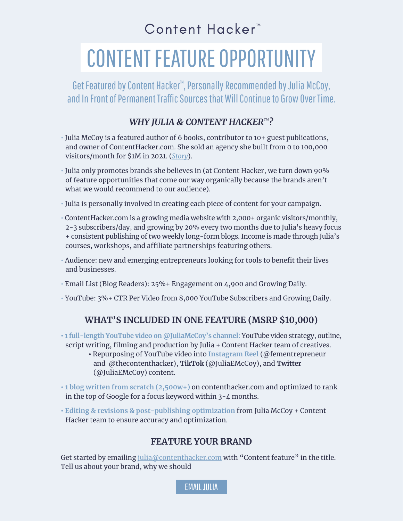## Content Hacker<sup>™</sup>

# CONTENT FEATURE OPPORTUNITY

Get Featured by Content Hacker™ , Personally Recommended by Julia McCoy, and In Front of Permanent Traffic Sources that Will Continue to Grow Over Time.

### *WHY JULIA & CONTENT HACKER™?*

- Julia McCoy is a featured author of 6 books, contributor to 10+ guest publications, and owner of ContentHacker.com. She sold an agency she built from 0 to 100,000 visitors/month for \$1M in 2021. (*[Story](https://contenthacker.com/story/)*).
- Julia only promotes brands she believes in (at Content Hacker, we turn down 90% of feature opportunities that come our way organically because the brands aren't what we would recommend to our audience).
- Julia is personally involved in creating each piece of content for your campaign.
- ContentHacker.com is a growing media website with 2,000+ organic visitors/monthly, 2-3 subscribers/day, and growing by 20% every two months due to Julia's heavy focus + consistent publishing of two weekly long-form blogs. Income is made through Julia's courses, workshops, and affiliate partnerships featuring others.
- Audience: new and emerging entrepreneurs looking for tools to benefit their lives and businesses.
- Email List (Blog Readers): 25%+ Engagement on 4,900 and Growing Daily.
- YouTube: 3%+ CTR Per Video from 8,000 YouTube Subscribers and Growing Daily.

#### **WHAT'S INCLUDED IN ONE FEATURE (MSRP \$10,000)**

- **1 full-length YouTube video on @JuliaMcCoy's channel:** YouTube video strategy, outline, script writing, filming and production by Julia + Content Hacker team of creatives.
	- Repurposing of YouTube video into **Instagram Reel** (@fementrepreneur and @thecontenthacker), **TikTok** (@JuliaEMcCoy), and **Twitter** (@JuliaEMcCoy) content.
- **1 blog written from scratch (2,500w+)** on contenthacker.com and optimized to rank in the top of Google for a focus keyword within 3-4 months.
- **Editing & revisions & post-publishing optimization** from Julia McCoy + Content Hacker team to ensure accuracy and optimization.

#### **FEATURE YOUR BRAND**

Get started by emailing julia@contenthacker.com with "Content feature" in the title. Tell us about your brand, why we should

[EMAIL JULIA](mailto:julia@contenthacker.com?subject=Content%20feature)